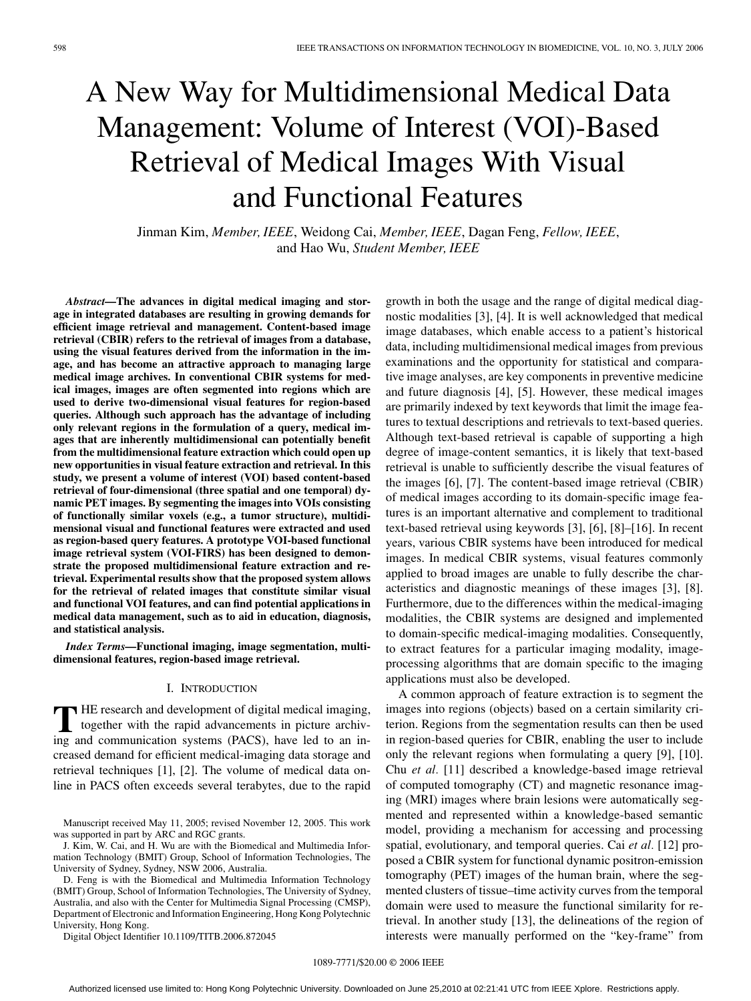# A New Way for Multidimensional Medical Data Management: Volume of Interest (VOI)-Based Retrieval of Medical Images With Visual and Functional Features

Jinman Kim, *Member, IEEE*, Weidong Cai, *Member, IEEE*, Dagan Feng, *Fellow, IEEE*, and Hao Wu, *Student Member, IEEE*

*Abstract***—The advances in digital medical imaging and storage in integrated databases are resulting in growing demands for efficient image retrieval and management. Content-based image retrieval (CBIR) refers to the retrieval of images from a database, using the visual features derived from the information in the image, and has become an attractive approach to managing large medical image archives. In conventional CBIR systems for medical images, images are often segmented into regions which are used to derive two-dimensional visual features for region-based queries. Although such approach has the advantage of including only relevant regions in the formulation of a query, medical images that are inherently multidimensional can potentially benefit from the multidimensional feature extraction which could open up new opportunities in visual feature extraction and retrieval. In this study, we present a volume of interest (VOI) based content-based retrieval of four-dimensional (three spatial and one temporal) dynamic PET images. By segmenting the images into VOIs consisting of functionally similar voxels (e.g., a tumor structure), multidimensional visual and functional features were extracted and used as region-based query features. A prototype VOI-based functional image retrieval system (VOI-FIRS) has been designed to demonstrate the proposed multidimensional feature extraction and retrieval. Experimental results show that the proposed system allows for the retrieval of related images that constitute similar visual and functional VOI features, and can find potential applications in medical data management, such as to aid in education, diagnosis, and statistical analysis.**

*Index Terms***—Functional imaging, image segmentation, multidimensional features, region-based image retrieval.**

#### I. INTRODUCTION

THE research and development of digital medical imaging, together with the rapid advancements in picture archiving and communication systems (PACS), have led to an increased demand for efficient medical-imaging data storage and retrieval techniques [1], [2]. The volume of medical data online in PACS often exceeds several terabytes, due to the rapid

Manuscript received May 11, 2005; revised November 12, 2005. This work was supported in part by ARC and RGC grants.

J. Kim, W. Cai, and H. Wu are with the Biomedical and Multimedia Information Technology (BMIT) Group, School of Information Technologies, The University of Sydney, Sydney, NSW 2006, Australia.

D. Feng is with the Biomedical and Multimedia Information Technology (BMIT) Group, School of Information Technologies, The University of Sydney, Australia, and also with the Center for Multimedia Signal Processing (CMSP), Department of Electronic and Information Engineering, Hong Kong Polytechnic University, Hong Kong.

Digital Object Identifier 10.1109/TITB.2006.872045

growth in both the usage and the range of digital medical diagnostic modalities [3], [4]. It is well acknowledged that medical image databases, which enable access to a patient's historical data, including multidimensional medical images from previous examinations and the opportunity for statistical and comparative image analyses, are key components in preventive medicine and future diagnosis [4], [5]. However, these medical images are primarily indexed by text keywords that limit the image features to textual descriptions and retrievals to text-based queries. Although text-based retrieval is capable of supporting a high degree of image-content semantics, it is likely that text-based retrieval is unable to sufficiently describe the visual features of the images [6], [7]. The content-based image retrieval (CBIR) of medical images according to its domain-specific image features is an important alternative and complement to traditional text-based retrieval using keywords [3], [6], [8]–[16]. In recent years, various CBIR systems have been introduced for medical images. In medical CBIR systems, visual features commonly applied to broad images are unable to fully describe the characteristics and diagnostic meanings of these images [3], [8]. Furthermore, due to the differences within the medical-imaging modalities, the CBIR systems are designed and implemented to domain-specific medical-imaging modalities. Consequently, to extract features for a particular imaging modality, imageprocessing algorithms that are domain specific to the imaging applications must also be developed.

A common approach of feature extraction is to segment the images into regions (objects) based on a certain similarity criterion. Regions from the segmentation results can then be used in region-based queries for CBIR, enabling the user to include only the relevant regions when formulating a query [9], [10]. Chu *et al.* [11] described a knowledge-based image retrieval of computed tomography (CT) and magnetic resonance imaging (MRI) images where brain lesions were automatically segmented and represented within a knowledge-based semantic model, providing a mechanism for accessing and processing spatial, evolutionary, and temporal queries. Cai *et al.* [12] proposed a CBIR system for functional dynamic positron-emission tomography (PET) images of the human brain, where the segmented clusters of tissue–time activity curves from the temporal domain were used to measure the functional similarity for retrieval. In another study [13], the delineations of the region of interests were manually performed on the "key-frame" from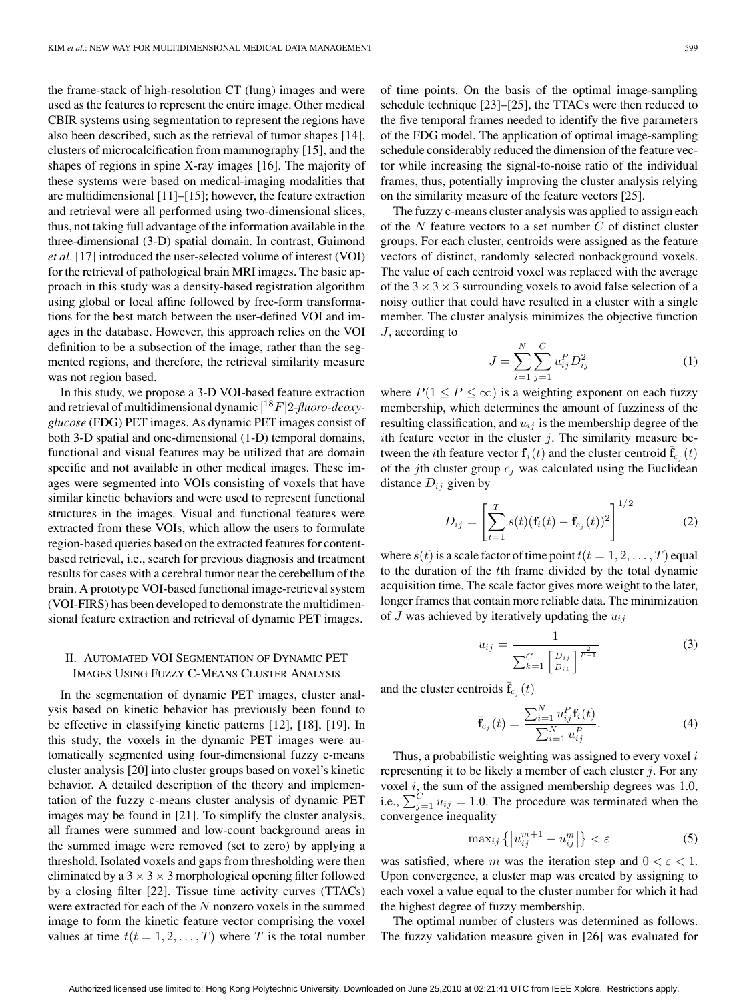the frame-stack of high-resolution CT (lung) images and were used as the features to represent the entire image. Other medical CBIR systems using segmentation to represent the regions have also been described, such as the retrieval of tumor shapes [14], clusters of microcalcification from mammography [15], and the shapes of regions in spine X-ray images [16]. The majority of these systems were based on medical-imaging modalities that are multidimensional [11]–[15]; however, the feature extraction and retrieval were all performed using two-dimensional slices, thus, not taking full advantage of the information available in the three-dimensional (3-D) spatial domain. In contrast, Guimond *et al.* [17] introduced the user-selected volume of interest (VOI) for the retrieval of pathological brain MRI images. The basic approach in this study was a density-based registration algorithm using global or local affine followed by free-form transformations for the best match between the user-defined VOI and images in the database. However, this approach relies on the VOI definition to be a subsection of the image, rather than the segmented regions, and therefore, the retrieval similarity measure was not region based.

In this study, we propose a 3-D VOI-based feature extraction and retrieval of multidimensional dynamic [ <sup>18</sup>F]2-*fluoro-deoxyglucose* (FDG) PET images. As dynamic PET images consist of both 3-D spatial and one-dimensional (1-D) temporal domains, functional and visual features may be utilized that are domain specific and not available in other medical images. These images were segmented into VOIs consisting of voxels that have similar kinetic behaviors and were used to represent functional structures in the images. Visual and functional features were extracted from these VOIs, which allow the users to formulate region-based queries based on the extracted features for contentbased retrieval, i.e., search for previous diagnosis and treatment results for cases with a cerebral tumor near the cerebellum of the brain. A prototype VOI-based functional image-retrieval system (VOI-FIRS) has been developed to demonstrate the multidimensional feature extraction and retrieval of dynamic PET images.

## II. AUTOMATED VOI SEGMENTATION OF DYNAMIC PET IMAGES USING FUZZY C-MEANS CLUSTER ANALYSIS

In the segmentation of dynamic PET images, cluster analysis based on kinetic behavior has previously been found to be effective in classifying kinetic patterns [12], [18], [19]. In this study, the voxels in the dynamic PET images were automatically segmented using four-dimensional fuzzy c-means cluster analysis [20] into cluster groups based on voxel's kinetic behavior. A detailed description of the theory and implementation of the fuzzy c-means cluster analysis of dynamic PET images may be found in [21]. To simplify the cluster analysis, all frames were summed and low-count background areas in the summed image were removed (set to zero) by applying a threshold. Isolated voxels and gaps from thresholding were then eliminated by a  $3 \times 3 \times 3$  morphological opening filter followed by a closing filter [22]. Tissue time activity curves (TTACs) were extracted for each of the N nonzero voxels in the summed image to form the kinetic feature vector comprising the voxel values at time  $t(t = 1, 2, ..., T)$  where T is the total number of time points. On the basis of the optimal image-sampling schedule technique [23]–[25], the TTACs were then reduced to the five temporal frames needed to identify the five parameters of the FDG model. The application of optimal image-sampling schedule considerably reduced the dimension of the feature vector while increasing the signal-to-noise ratio of the individual frames, thus, potentially improving the cluster analysis relying on the similarity measure of the feature vectors [25].

The fuzzy c-means cluster analysis was applied to assign each of the  $N$  feature vectors to a set number  $C$  of distinct cluster groups. For each cluster, centroids were assigned as the feature vectors of distinct, randomly selected nonbackground voxels. The value of each centroid voxel was replaced with the average of the  $3 \times 3 \times 3$  surrounding voxels to avoid false selection of a noisy outlier that could have resulted in a cluster with a single member. The cluster analysis minimizes the objective function J, according to

$$
J = \sum_{i=1}^{N} \sum_{j=1}^{C} u_{ij}^{P} D_{ij}^{2}
$$
 (1)

where  $P(1 \le P \le \infty)$  is a weighting exponent on each fuzzy membership, which determines the amount of fuzziness of the resulting classification, and  $u_{ij}$  is the membership degree of the ith feature vector in the cluster  $j$ . The similarity measure between the *i*th feature vector  $f_i(t)$  and the cluster centroid  $f_{c_i}(t)$ of the jth cluster group  $c_j$  was calculated using the Euclidean distance  $D_{ij}$  given by

$$
D_{ij} = \left[\sum_{t=1}^{T} s(t) (\mathbf{f}_i(t) - \bar{\mathbf{f}}_{c_j}(t))^2\right]^{1/2}
$$
 (2)

where  $s(t)$  is a scale factor of time point  $t(t = 1, 2, \ldots, T)$  equal to the duration of the tth frame divided by the total dynamic acquisition time. The scale factor gives more weight to the later, longer frames that contain more reliable data. The minimization of J was achieved by iteratively updating the  $u_{ij}$ 

$$
u_{ij} = \frac{1}{\sum_{k=1}^{C} \left[\frac{D_{ij}}{D_{ik}}\right]^{\frac{2}{P-1}}} \tag{3}
$$

and the cluster centroids  $\mathbf{f}_{c_i}(t)$ 

$$
\bar{\mathbf{f}}_{c_j}(t) = \frac{\sum_{i=1}^{N} u_{ij}^P \mathbf{f}_i(t)}{\sum_{i=1}^{N} u_{ij}^P}.
$$
\n(4)

Thus, a probabilistic weighting was assigned to every voxel  $i$ representing it to be likely a member of each cluster  $j$ . For any voxel  $i$ , the sum of the assigned membership degrees was 1.0, i.e.,  $\sum_{j=1}^{C} u_{ij} = 1.0$ . The procedure was terminated when the convergence inequality

$$
\max_{ij} \left\{ \left| u_{ij}^{m+1} - u_{ij}^{m} \right| \right\} < \varepsilon \tag{5}
$$

was satisfied, where m was the iteration step and  $0 < \varepsilon < 1$ . Upon convergence, a cluster map was created by assigning to each voxel a value equal to the cluster number for which it had the highest degree of fuzzy membership.

The optimal number of clusters was determined as follows. The fuzzy validation measure given in [26] was evaluated for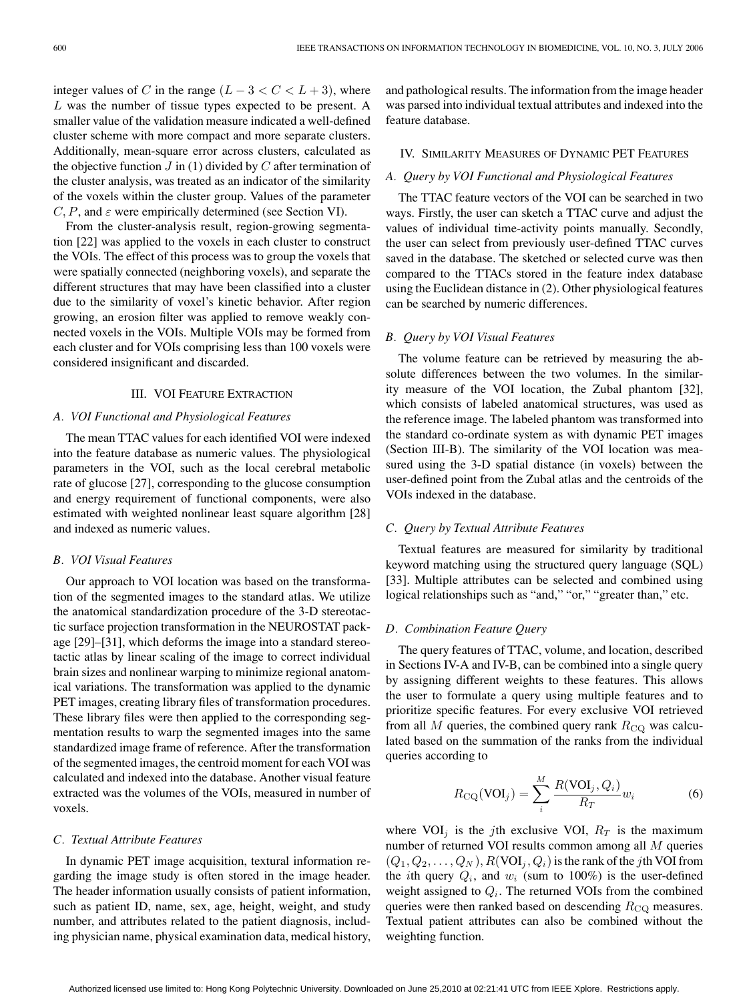integer values of C in the range  $(L - 3 < C < L + 3)$ , where L was the number of tissue types expected to be present. A smaller value of the validation measure indicated a well-defined cluster scheme with more compact and more separate clusters. Additionally, mean-square error across clusters, calculated as the objective function  $J$  in (1) divided by  $C$  after termination of the cluster analysis, was treated as an indicator of the similarity of the voxels within the cluster group. Values of the parameter  $C, P$ , and  $\varepsilon$  were empirically determined (see Section VI).

From the cluster-analysis result, region-growing segmentation [22] was applied to the voxels in each cluster to construct the VOIs. The effect of this process was to group the voxels that were spatially connected (neighboring voxels), and separate the different structures that may have been classified into a cluster due to the similarity of voxel's kinetic behavior. After region growing, an erosion filter was applied to remove weakly connected voxels in the VOIs. Multiple VOIs may be formed from each cluster and for VOIs comprising less than 100 voxels were considered insignificant and discarded.

## III. VOI FEATURE EXTRACTION

## *A. VOI Functional and Physiological Features*

The mean TTAC values for each identified VOI were indexed into the feature database as numeric values. The physiological parameters in the VOI, such as the local cerebral metabolic rate of glucose [27], corresponding to the glucose consumption and energy requirement of functional components, were also estimated with weighted nonlinear least square algorithm [28] and indexed as numeric values.

#### *B. VOI Visual Features*

Our approach to VOI location was based on the transformation of the segmented images to the standard atlas. We utilize the anatomical standardization procedure of the 3-D stereotactic surface projection transformation in the NEUROSTAT package [29]–[31], which deforms the image into a standard stereotactic atlas by linear scaling of the image to correct individual brain sizes and nonlinear warping to minimize regional anatomical variations. The transformation was applied to the dynamic PET images, creating library files of transformation procedures. These library files were then applied to the corresponding segmentation results to warp the segmented images into the same standardized image frame of reference. After the transformation of the segmented images, the centroid moment for each VOI was calculated and indexed into the database. Another visual feature extracted was the volumes of the VOIs, measured in number of voxels.

## *C. Textual Attribute Features*

In dynamic PET image acquisition, textural information regarding the image study is often stored in the image header. The header information usually consists of patient information, such as patient ID, name, sex, age, height, weight, and study number, and attributes related to the patient diagnosis, including physician name, physical examination data, medical history, and pathological results. The information from the image header was parsed into individual textual attributes and indexed into the feature database.

## IV. SIMILARITY MEASURES OF DYNAMIC PET FEATURES

# *A. Query by VOI Functional and Physiological Features*

The TTAC feature vectors of the VOI can be searched in two ways. Firstly, the user can sketch a TTAC curve and adjust the values of individual time-activity points manually. Secondly, the user can select from previously user-defined TTAC curves saved in the database. The sketched or selected curve was then compared to the TTACs stored in the feature index database using the Euclidean distance in (2). Other physiological features can be searched by numeric differences.

#### *B. Query by VOI Visual Features*

The volume feature can be retrieved by measuring the absolute differences between the two volumes. In the similarity measure of the VOI location, the Zubal phantom [32], which consists of labeled anatomical structures, was used as the reference image. The labeled phantom was transformed into the standard co-ordinate system as with dynamic PET images (Section III-B). The similarity of the VOI location was measured using the 3-D spatial distance (in voxels) between the user-defined point from the Zubal atlas and the centroids of the VOIs indexed in the database.

## *C. Query by Textual Attribute Features*

Textual features are measured for similarity by traditional keyword matching using the structured query language (SQL) [33]. Multiple attributes can be selected and combined using logical relationships such as "and," "or," "greater than," etc.

## *D. Combination Feature Query*

The query features of TTAC, volume, and location, described in Sections IV-A and IV-B, can be combined into a single query by assigning different weights to these features. This allows the user to formulate a query using multiple features and to prioritize specific features. For every exclusive VOI retrieved from all M queries, the combined query rank  $R_{\text{CO}}$  was calculated based on the summation of the ranks from the individual queries according to

$$
R_{\rm CQ}(\text{VOI}_j) = \sum_{i}^{M} \frac{R(\text{VOI}_j, Q_i)}{R_T} w_i \tag{6}
$$

where  $\text{VOI}_j$  is the *j*th exclusive VOI,  $R_T$  is the maximum number of returned VOI results common among all M queries  $(Q_1, Q_2, \ldots, Q_N)$ ,  $R(VOI_j, Q_i)$  is the rank of the jth VOI from the *i*th query  $Q_i$ , and  $w_i$  (sum to 100%) is the user-defined weight assigned to  $Q_i$ . The returned VOIs from the combined queries were then ranked based on descending  $R_{\text{CO}}$  measures. Textual patient attributes can also be combined without the weighting function.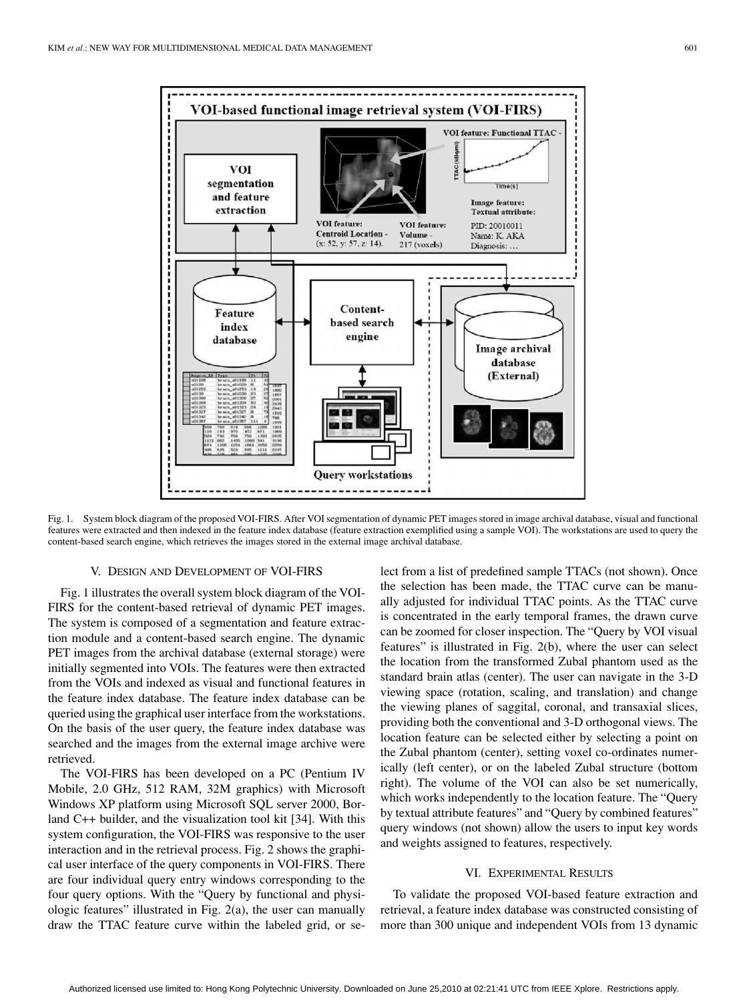

Fig. 1. System block diagram of the proposed VOI-FIRS. After VOI segmentation of dynamic PET images stored in image archival database, visual and functional features were extracted and then indexed in the feature index database (feature extraction exemplified using a sample VOI). The workstations are used to query the content-based search engine, which retrieves the images stored in the external image archival database.

## V. DESIGN AND DEVELOPMENT OF VOI-FIRS

Fig. 1 illustrates the overall system block diagram of the VOI-FIRS for the content-based retrieval of dynamic PET images. The system is composed of a segmentation and feature extraction module and a content-based search engine. The dynamic PET images from the archival database (external storage) were initially segmented into VOIs. The features were then extracted from the VOIs and indexed as visual and functional features in the feature index database. The feature index database can be queried using the graphical user interface from the workstations. On the basis of the user query, the feature index database was searched and the images from the external image archive were retrieved.

The VOI-FIRS has been developed on a PC (Pentium IV Mobile, 2.0 GHz, 512 RAM, 32M graphics) with Microsoft Windows XP platform using Microsoft SQL server 2000, Borland C++ builder, and the visualization tool kit [34]. With this system configuration, the VOI-FIRS was responsive to the user interaction and in the retrieval process. Fig. 2 shows the graphical user interface of the query components in VOI-FIRS. There are four individual query entry windows corresponding to the four query options. With the "Query by functional and physiologic features" illustrated in Fig.  $2(a)$ , the user can manually draw the TTAC feature curve within the labeled grid, or select from a list of predefined sample TTACs (not shown). Once the selection has been made, the TTAC curve can be manually adjusted for individual TTAC points. As the TTAC curve is concentrated in the early temporal frames, the drawn curve can be zoomed for closer inspection. The "Query by VOI visual features" is illustrated in Fig. 2(b), where the user can select the location from the transformed Zubal phantom used as the standard brain atlas (center). The user can navigate in the 3-D viewing space (rotation, scaling, and translation) and change the viewing planes of saggital, coronal, and transaxial slices, providing both the conventional and 3-D orthogonal views. The location feature can be selected either by selecting a point on the Zubal phantom (center), setting voxel co-ordinates numerically (left center), or on the labeled Zubal structure (bottom right). The volume of the VOI can also be set numerically, which works independently to the location feature. The "Query by textual attribute features" and "Query by combined features" query windows (not shown) allow the users to input key words and weights assigned to features, respectively.

## VI. EXPERIMENTAL RESULTS

To validate the proposed VOI-based feature extraction and retrieval, a feature index database was constructed consisting of more than 300 unique and independent VOIs from 13 dynamic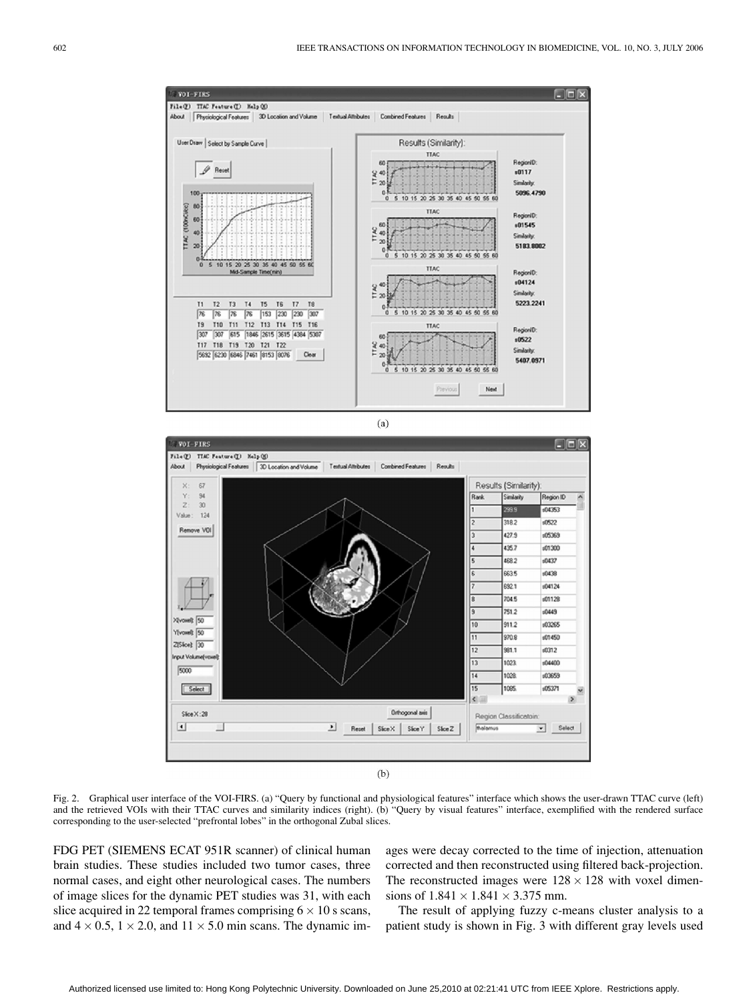

 $(a)$ 



Fig. 2. Graphical user interface of the VOI-FIRS. (a) "Query by functional and physiological features" interface which shows the user-drawn TTAC curve (left) and the retrieved VOIs with their TTAC curves and similarity indices (right). (b) "Query by visual features" interface, exemplified with the rendered surface corresponding to the user-selected "prefrontal lobes" in the orthogonal Zubal slices.

FDG PET (SIEMENS ECAT 951R scanner) of clinical human brain studies. These studies included two tumor cases, three normal cases, and eight other neurological cases. The numbers of image slices for the dynamic PET studies was 31, with each slice acquired in 22 temporal frames comprising  $6 \times 10$  s scans, and  $4 \times 0.5$ ,  $1 \times 2.0$ , and  $11 \times 5.0$  min scans. The dynamic images were decay corrected to the time of injection, attenuation corrected and then reconstructed using filtered back-projection. The reconstructed images were  $128 \times 128$  with voxel dimensions of  $1.841 \times 1.841 \times 3.375$  mm.

The result of applying fuzzy c-means cluster analysis to a patient study is shown in Fig. 3 with different gray levels used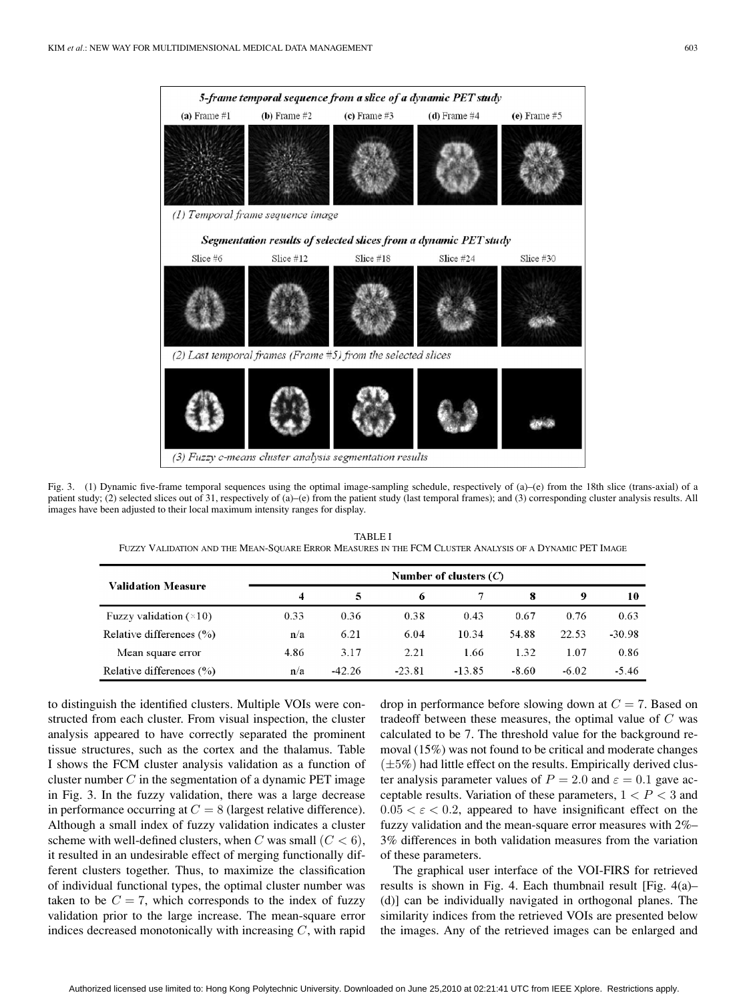

Fig. 3. (1) Dynamic five-frame temporal sequences using the optimal image-sampling schedule, respectively of (a)–(e) from the 18th slice (trans-axial) of a patient study; (2) selected slices out of 31, respectively of (a)–(e) from the patient study (last temporal frames); and (3) corresponding cluster analysis results. All images have been adjusted to their local maximum intensity ranges for display.

|                                | Number of clusters $(C)$ |          |          |          |         |         |          |  |  |
|--------------------------------|--------------------------|----------|----------|----------|---------|---------|----------|--|--|
| Validation Measure             | 4                        | 5        | 6        | 7        | 8       | 9       | 10       |  |  |
| Fuzzy validation $(\times 10)$ | 0.33                     | 0.36     | 0.38     | 0.43     | 0.67    | 0.76    | 0.63     |  |  |
| Relative differences (%)       | n/a                      | 6.21     | 6.04     | 10.34    | 54.88   | 22.53   | $-30.98$ |  |  |
| Mean square error              | 4.86                     | 3.17     | 2.21     | 1.66     | 1.32    | 1.07    | 0.86     |  |  |
| Relative differences (%)       | n/a                      | $-42.26$ | $-23.81$ | $-13.85$ | $-8.60$ | $-6.02$ | $-5.46$  |  |  |

TABLE I FUZZY VALIDATION AND THE MEAN-SQUARE ERROR MEASURES IN THE FCM CLUSTER ANALYSIS OF A DYNAMIC PET IMAGE

to distinguish the identified clusters. Multiple VOIs were constructed from each cluster. From visual inspection, the cluster analysis appeared to have correctly separated the prominent tissue structures, such as the cortex and the thalamus. Table I shows the FCM cluster analysis validation as a function of cluster number  $C$  in the segmentation of a dynamic PET image in Fig. 3. In the fuzzy validation, there was a large decrease in performance occurring at  $C = 8$  (largest relative difference). Although a small index of fuzzy validation indicates a cluster scheme with well-defined clusters, when C was small  $(C < 6)$ , it resulted in an undesirable effect of merging functionally different clusters together. Thus, to maximize the classification of individual functional types, the optimal cluster number was taken to be  $C = 7$ , which corresponds to the index of fuzzy validation prior to the large increase. The mean-square error indices decreased monotonically with increasing  $C$ , with rapid

drop in performance before slowing down at  $C = 7$ . Based on tradeoff between these measures, the optimal value of  $C$  was calculated to be 7. The threshold value for the background removal (15%) was not found to be critical and moderate changes  $(\pm 5\%)$  had little effect on the results. Empirically derived cluster analysis parameter values of  $P = 2.0$  and  $\varepsilon = 0.1$  gave acceptable results. Variation of these parameters,  $1 < P < 3$  and  $0.05 < \varepsilon < 0.2$ , appeared to have insignificant effect on the fuzzy validation and the mean-square error measures with 2%– 3% differences in both validation measures from the variation of these parameters.

The graphical user interface of the VOI-FIRS for retrieved results is shown in Fig. 4. Each thumbnail result [Fig. 4(a)– (d)] can be individually navigated in orthogonal planes. The similarity indices from the retrieved VOIs are presented below the images. Any of the retrieved images can be enlarged and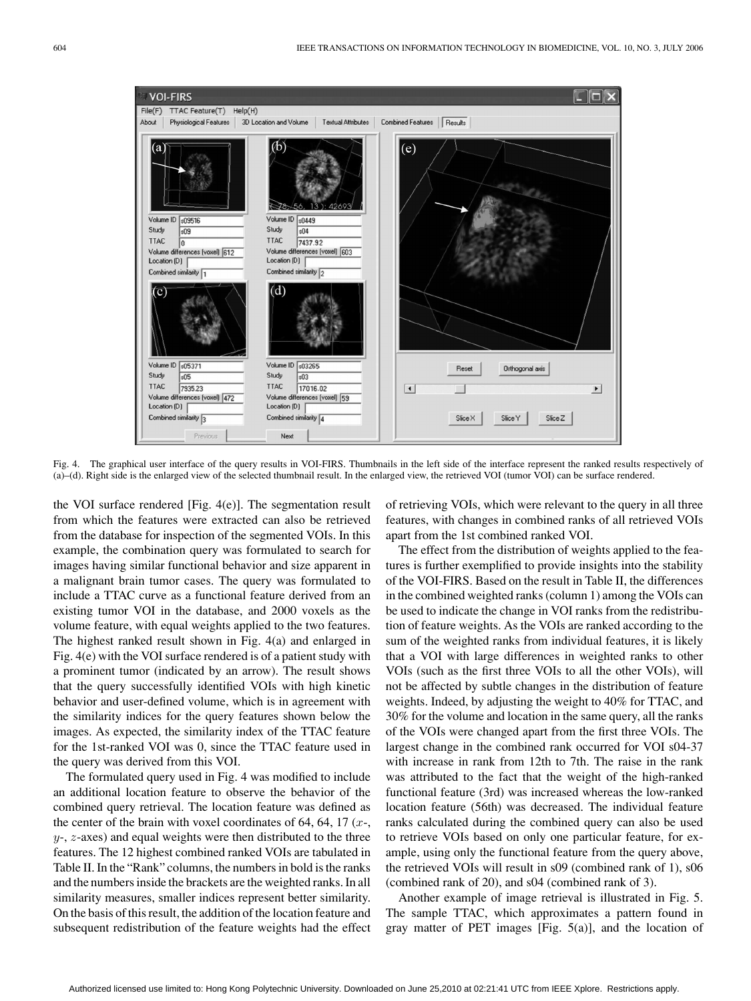

Fig. 4. The graphical user interface of the query results in VOI-FIRS. Thumbnails in the left side of the interface represent the ranked results respectively of (a)–(d). Right side is the enlarged view of the selected thumbnail result. In the enlarged view, the retrieved VOI (tumor VOI) can be surface rendered.

the VOI surface rendered [Fig. 4(e)]. The segmentation result from which the features were extracted can also be retrieved from the database for inspection of the segmented VOIs. In this example, the combination query was formulated to search for images having similar functional behavior and size apparent in a malignant brain tumor cases. The query was formulated to include a TTAC curve as a functional feature derived from an existing tumor VOI in the database, and 2000 voxels as the volume feature, with equal weights applied to the two features. The highest ranked result shown in Fig. 4(a) and enlarged in Fig. 4(e) with the VOI surface rendered is of a patient study with a prominent tumor (indicated by an arrow). The result shows that the query successfully identified VOIs with high kinetic behavior and user-defined volume, which is in agreement with the similarity indices for the query features shown below the images. As expected, the similarity index of the TTAC feature for the 1st-ranked VOI was 0, since the TTAC feature used in the query was derived from this VOI.

The formulated query used in Fig. 4 was modified to include an additional location feature to observe the behavior of the combined query retrieval. The location feature was defined as the center of the brain with voxel coordinates of 64, 64, 17  $(x<sub>-</sub>,$  $y$ -,  $z$ -axes) and equal weights were then distributed to the three features. The 12 highest combined ranked VOIs are tabulated in Table II. In the "Rank" columns, the numbers in bold is the ranks and the numbers inside the brackets are the weighted ranks. In all similarity measures, smaller indices represent better similarity. On the basis of this result, the addition of the location feature and subsequent redistribution of the feature weights had the effect of retrieving VOIs, which were relevant to the query in all three features, with changes in combined ranks of all retrieved VOIs apart from the 1st combined ranked VOI.

The effect from the distribution of weights applied to the features is further exemplified to provide insights into the stability of the VOI-FIRS. Based on the result in Table II, the differences in the combined weighted ranks (column 1) among the VOIs can be used to indicate the change in VOI ranks from the redistribution of feature weights. As the VOIs are ranked according to the sum of the weighted ranks from individual features, it is likely that a VOI with large differences in weighted ranks to other VOIs (such as the first three VOIs to all the other VOIs), will not be affected by subtle changes in the distribution of feature weights. Indeed, by adjusting the weight to 40% for TTAC, and 30% for the volume and location in the same query, all the ranks of the VOIs were changed apart from the first three VOIs. The largest change in the combined rank occurred for VOI s04-37 with increase in rank from 12th to 7th. The raise in the rank was attributed to the fact that the weight of the high-ranked functional feature (3rd) was increased whereas the low-ranked location feature (56th) was decreased. The individual feature ranks calculated during the combined query can also be used to retrieve VOIs based on only one particular feature, for example, using only the functional feature from the query above, the retrieved VOIs will result in s09 (combined rank of 1), s06 (combined rank of 20), and s04 (combined rank of 3).

Another example of image retrieval is illustrated in Fig. 5. The sample TTAC, which approximates a pattern found in gray matter of PET images [Fig. 5(a)], and the location of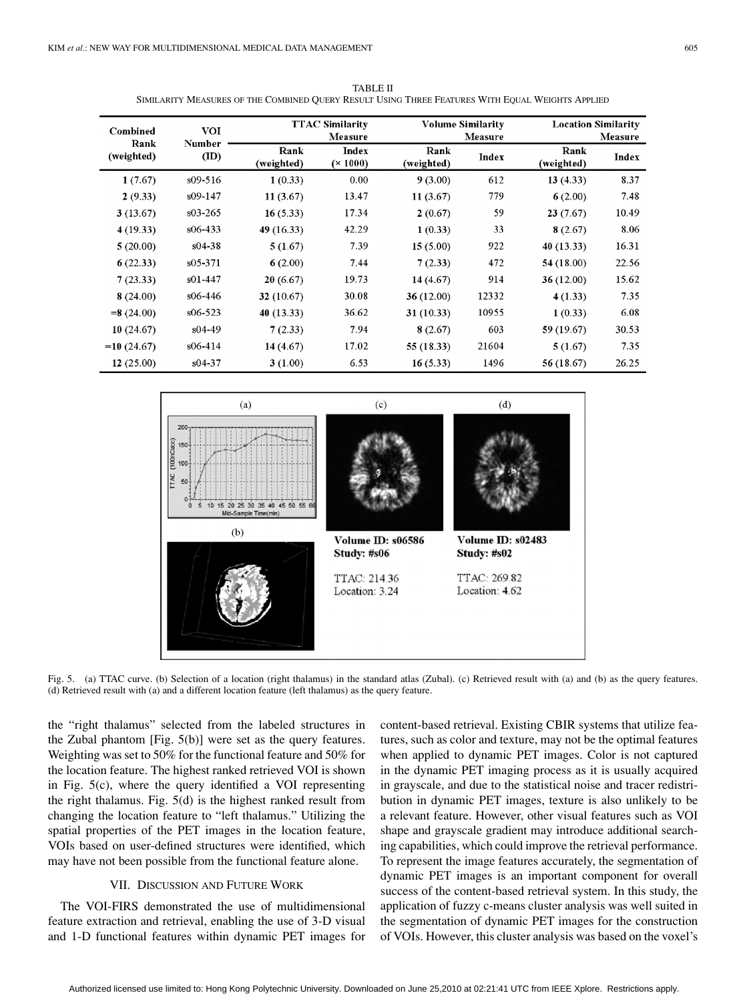| Combined<br>Rank<br>(weighted) | <b>VOI</b><br>Number<br>(ID) | <b>TTAC Similarity</b><br>Measure |                            | <b>Volume Similarity</b><br>Measure |       | <b>Location Similarity</b><br>Measure |       |
|--------------------------------|------------------------------|-----------------------------------|----------------------------|-------------------------------------|-------|---------------------------------------|-------|
|                                |                              | Rank<br>(weighted)                | <b>Index</b><br>$(* 1000)$ | Rank<br>(weighted)                  | Index | Rank<br>(weighted)                    | Index |
| 1(7.67)                        | $s09 - 516$                  | 1(0.33)                           | 0.00                       | 9(3.00)                             | 612   | 13(4.33)                              | 8.37  |
| 2(9.33)                        | s09-147                      | 11(3.67)                          | 13.47                      | 11(3.67)                            | 779   | 6(2.00)                               | 7.48  |
| 3(13.67)                       | $s03 - 265$                  | 16(5.33)                          | 17.34                      | 2(0.67)                             | 59    | 23 (7.67)                             | 10.49 |
| 4(19.33)                       | $s06 - 433$                  | 49 (16.33)                        | 42.29                      | 1(0.33)                             | 33    | 8(2.67)                               | 8.06  |
| 5(20.00)                       | $s04 - 38$                   | 5(1.67)                           | 7.39                       | 15(5.00)                            | 922   | 40(13.33)                             | 16.31 |
| 6(22.33)                       | $s05 - 371$                  | 6(2.00)                           | 7.44                       | 7(2.33)                             | 472   | 54 (18.00)                            | 22.56 |
| 7(23.33)                       | s01-447                      | 20(6.67)                          | 19.73                      | 14 (4.67)                           | 914   | 36(12.00)                             | 15.62 |
| 8(24.00)                       | s06-446                      | 32 $(10.67)$                      | 30.08                      | 36(12.00)                           | 12332 | 4 (1.33)                              | 7.35  |
| $= 8(24.00)$                   | $s06-523$                    | 40(13.33)                         | 36.62                      | 31 (10.33)                          | 10955 | 1(0.33)                               | 6.08  |
| 10(24.67)                      | $s04-49$                     | 7(2.33)                           | 7.94                       | 8(2.67)                             | 603   | 59 (19.67)                            | 30.53 |
| $=10(24.67)$                   | s06-414                      | 14(4.67)                          | 17.02                      | 55 (18.33)                          | 21604 | 5(1.67)                               | 7.35  |
| 12(25.00)                      | s04-37                       | 3(1.00)                           | 6.53                       | 16(5.33)                            | 1496  | 56 (18.67)                            | 26.25 |

TABLE II SIMILARITY MEASURES OF THE COMBINED QUERY RESULT USING THREE FEATURES WITH EQUAL WEIGHTS APPLIED



Fig. 5. (a) TTAC curve. (b) Selection of a location (right thalamus) in the standard atlas (Zubal). (c) Retrieved result with (a) and (b) as the query features. (d) Retrieved result with (a) and a different location feature (left thalamus) as the query feature.

the "right thalamus" selected from the labeled structures in the Zubal phantom [Fig. 5(b)] were set as the query features. Weighting was set to 50% for the functional feature and 50% for the location feature. The highest ranked retrieved VOI is shown in Fig. 5(c), where the query identified a VOI representing the right thalamus. Fig. 5(d) is the highest ranked result from changing the location feature to "left thalamus." Utilizing the spatial properties of the PET images in the location feature, VOIs based on user-defined structures were identified, which may have not been possible from the functional feature alone.

## VII. DISCUSSION AND FUTURE WORK

The VOI-FIRS demonstrated the use of multidimensional feature extraction and retrieval, enabling the use of 3-D visual and 1-D functional features within dynamic PET images for content-based retrieval. Existing CBIR systems that utilize features, such as color and texture, may not be the optimal features when applied to dynamic PET images. Color is not captured in the dynamic PET imaging process as it is usually acquired in grayscale, and due to the statistical noise and tracer redistribution in dynamic PET images, texture is also unlikely to be a relevant feature. However, other visual features such as VOI shape and grayscale gradient may introduce additional searching capabilities, which could improve the retrieval performance. To represent the image features accurately, the segmentation of dynamic PET images is an important component for overall success of the content-based retrieval system. In this study, the application of fuzzy c-means cluster analysis was well suited in the segmentation of dynamic PET images for the construction of VOIs. However, this cluster analysis was based on the voxel's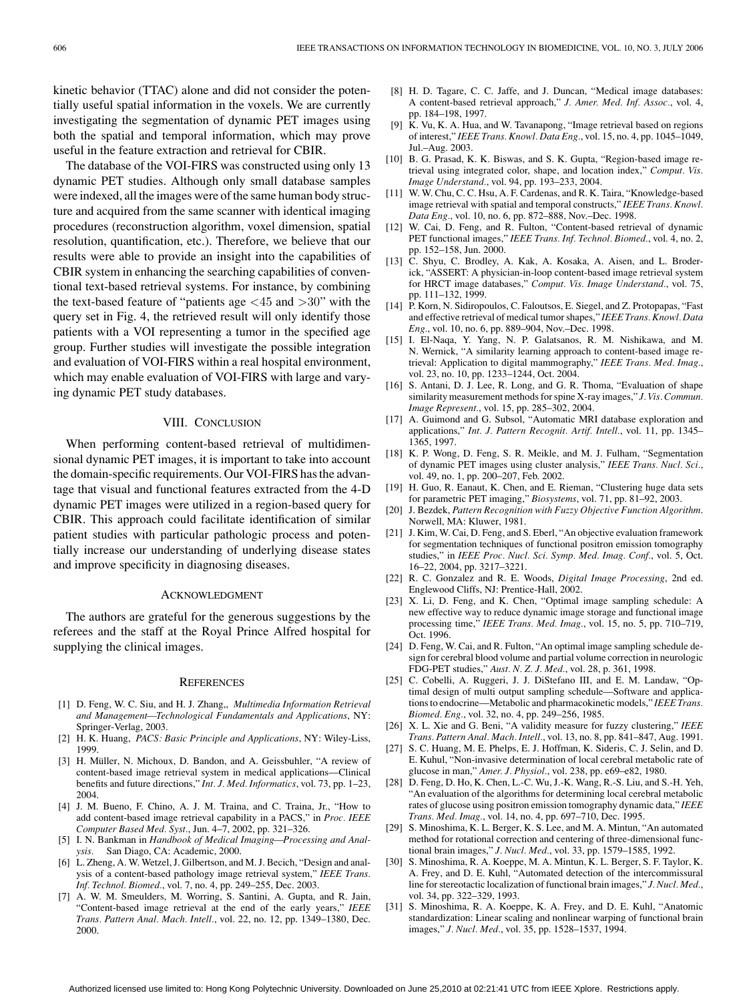kinetic behavior (TTAC) alone and did not consider the potentially useful spatial information in the voxels. We are currently investigating the segmentation of dynamic PET images using both the spatial and temporal information, which may prove useful in the feature extraction and retrieval for CBIR.

The database of the VOI-FIRS was constructed using only 13 dynamic PET studies. Although only small database samples were indexed, all the images were of the same human body structure and acquired from the same scanner with identical imaging procedures (reconstruction algorithm, voxel dimension, spatial resolution, quantification, etc.). Therefore, we believe that our results were able to provide an insight into the capabilities of CBIR system in enhancing the searching capabilities of conventional text-based retrieval systems. For instance, by combining the text-based feature of "patients age  $\langle 45 \text{ and } 50 \rangle$ " with the query set in Fig. 4, the retrieved result will only identify those patients with a VOI representing a tumor in the specified age group. Further studies will investigate the possible integration and evaluation of VOI-FIRS within a real hospital environment, which may enable evaluation of VOI-FIRS with large and varying dynamic PET study databases.

## VIII. CONCLUSION

When performing content-based retrieval of multidimensional dynamic PET images, it is important to take into account the domain-specific requirements. Our VOI-FIRS has the advantage that visual and functional features extracted from the 4-D dynamic PET images were utilized in a region-based query for CBIR. This approach could facilitate identification of similar patient studies with particular pathologic process and potentially increase our understanding of underlying disease states and improve specificity in diagnosing diseases.

#### ACKNOWLEDGMENT

The authors are grateful for the generous suggestions by the referees and the staff at the Royal Prince Alfred hospital for supplying the clinical images.

#### **REFERENCES**

- [1] D. Feng, W. C. Siu, and H. J. Zhang,, *Multimedia Information Retrieval and Management—Technological Fundamentals and Applications*, NY: Springer-Verlag, 2003.
- [2] H. K. Huang, *PACS: Basic Principle and Applications*, NY: Wiley-Liss, 1999.
- [3] H. Müller, N. Michoux, D. Bandon, and A. Geissbuhler, "A review of content-based image retrieval system in medical applications—Clinical benefits and future directions," *Int. J. Med. Informatics*, vol. 73, pp. 1–23, 2004.
- [4] J. M. Bueno, F. Chino, A. J. M. Traina, and C. Traina, Jr., "How to add content-based image retrieval capability in a PACS," in *Proc. IEEE Computer Based Med. Syst.*, Jun. 4–7, 2002, pp. 321–326.
- [5] I. N. Bankman in *Handbook of Medical Imaging—Processing and Analysis.* San Diago, CA: Academic, 2000.
- [6] L. Zheng, A. W. Wetzel, J. Gilbertson, and M. J. Becich, "Design and analysis of a content-based pathology image retrieval system," *IEEE Trans. Inf. Technol. Biomed.*, vol. 7, no. 4, pp. 249–255, Dec. 2003.
- [7] A. W. M. Smeulders, M. Worring, S. Santini, A. Gupta, and R. Jain, "Content-based image retrieval at the end of the early years," *IEEE Trans. Pattern Anal. Mach. Intell.*, vol. 22, no. 12, pp. 1349–1380, Dec. 2000.
- [8] H. D. Tagare, C. C. Jaffe, and J. Duncan, "Medical image databases: A content-based retrieval approach," *J. Amer. Med. Inf. Assoc.*, vol. 4, pp. 184–198, 1997.
- [9] K. Vu, K. A. Hua, and W. Tavanapong, "Image retrieval based on regions of interest," *IEEE Trans. Knowl. Data Eng.*, vol. 15, no. 4, pp. 1045–1049, Jul.–Aug. 2003.
- [10] B. G. Prasad, K. K. Biswas, and S. K. Gupta, "Region-based image retrieval using integrated color, shape, and location index," *Comput. Vis. Image Understand.*, vol. 94, pp. 193–233, 2004.
- [11] W. W. Chu, C. C. Hsu, A. F. Cardenas, and R. K. Taira, "Knowledge-based image retrieval with spatial and temporal constructs," *IEEE Trans. Knowl. Data Eng.*, vol. 10, no. 6, pp. 872–888, Nov.–Dec. 1998.
- [12] W. Cai, D. Feng, and R. Fulton, "Content-based retrieval of dynamic PET functional images," *IEEE Trans. Inf. Technol. Biomed.*, vol. 4, no. 2, pp. 152–158, Jun. 2000.
- [13] C. Shyu, C. Brodley, A. Kak, A. Kosaka, A. Aisen, and L. Broderick, "ASSERT: A physician-in-loop content-based image retrieval system for HRCT image databases," *Comput. Vis. Image Understand.*, vol. 75, pp. 111–132, 1999.
- [14] P. Korn, N. Sidiropoulos, C. Faloutsos, E. Siegel, and Z. Protopapas, "Fast and effective retrieval of medical tumor shapes," *IEEE Trans. Knowl. Data Eng.*, vol. 10, no. 6, pp. 889–904, Nov.–Dec. 1998.
- [15] I. El-Naqa, Y. Yang, N. P. Galatsanos, R. M. Nishikawa, and M. N. Wernick, "A similarity learning approach to content-based image retrieval: Application to digital mammography," *IEEE Trans. Med. Imag.*, vol. 23, no. 10, pp. 1233–1244, Oct. 2004.
- [16] S. Antani, D. J. Lee, R. Long, and G. R. Thoma, "Evaluation of shape similarity measurement methods for spine X-ray images," *J. Vis. Commun. Image Represent.*, vol. 15, pp. 285–302, 2004.
- [17] A. Guimond and G. Subsol, "Automatic MRI database exploration and applications," *Int. J. Pattern Recognit. Artif. Intell.*, vol. 11, pp. 1345– 1365, 1997.
- [18] K. P. Wong, D. Feng, S. R. Meikle, and M. J. Fulham, "Segmentation of dynamic PET images using cluster analysis," *IEEE Trans. Nucl. Sci.*, vol. 49, no. 1, pp. 200–207, Feb. 2002.
- [19] H. Guo, R. Eanaut, K. Chen, and E. Rieman, "Clustering huge data sets for parametric PET imaging," *Biosystems*, vol. 71, pp. 81–92, 2003.
- [20] J. Bezdek, *Pattern Recognition with Fuzzy Objective Function Algorithm*. Norwell, MA: Kluwer, 1981.
- [21] J. Kim, W. Cai, D. Feng, and S. Eberl, "An objective evaluation framework for segmentation techniques of functional positron emission tomography studies," in *IEEE Proc. Nucl. Sci. Symp. Med. Imag. Conf.*, vol. 5, Oct. 16–22, 2004, pp. 3217–3221.
- [22] R. C. Gonzalez and R. E. Woods, *Digital Image Processing*, 2nd ed. Englewood Cliffs, NJ: Prentice-Hall, 2002.
- [23] X. Li, D. Feng, and K. Chen, "Optimal image sampling schedule: A new effective way to reduce dynamic image storage and functional image processing time," *IEEE Trans. Med. Imag.*, vol. 15, no. 5, pp. 710–719, Oct. 1996.
- [24] D. Feng, W. Cai, and R. Fulton, "An optimal image sampling schedule design for cerebral blood volume and partial volume correction in neurologic FDG-PET studies," *Aust. N. Z. J. Med.*, vol. 28, p. 361, 1998.
- [25] C. Cobelli, A. Ruggeri, J. J. DiStefano III, and E. M. Landaw, "Optimal design of multi output sampling schedule—Software and applications to endocrine—Metabolic and pharmacokinetic models," *IEEE Trans. Biomed. Eng.*, vol. 32, no. 4, pp. 249–256, 1985.
- [26] X. L. Xie and G. Beni, "A validity measure for fuzzy clustering," *IEEE Trans. Pattern Anal. Mach. Intell.*, vol. 13, no. 8, pp. 841–847, Aug. 1991.
- [27] S. C. Huang, M. E. Phelps, E. J. Hoffman, K. Sideris, C. J. Selin, and D. E. Kuhul, "Non-invasive determination of local cerebral metabolic rate of glucose in man," *Amer. J. Physiol.*, vol. 238, pp. e69–e82, 1980.
- [28] D. Feng, D. Ho, K. Chen, L.-C. Wu, J.-K. Wang, R.-S. Liu, and S.-H. Yeh, "An evaluation of the algorithms for determining local cerebral metabolic rates of glucose using positron emission tomography dynamic data," *IEEE Trans. Med. Imag.*, vol. 14, no. 4, pp. 697–710, Dec. 1995.
- [29] S. Minoshima, K. L. Berger, K. S. Lee, and M. A. Mintun, "An automated method for rotational correction and centering of three-dimensional functional brain images," *J. Nucl. Med.*, vol. 33, pp. 1579–1585, 1992.
- [30] S. Minoshima, R. A. Koeppe, M. A. Mintun, K. L. Berger, S. F. Taylor, K. A. Frey, and D. E. Kuhl, "Automated detection of the intercommissural line for stereotactic localization of functional brain images," *J. Nucl. Med.*, vol. 34, pp. 322–329, 1993.
- [31] S. Minoshima, R. A. Koeppe, K. A. Frey, and D. E. Kuhl, "Anatomic standardization: Linear scaling and nonlinear warping of functional brain images," *J. Nucl. Med.*, vol. 35, pp. 1528–1537, 1994.